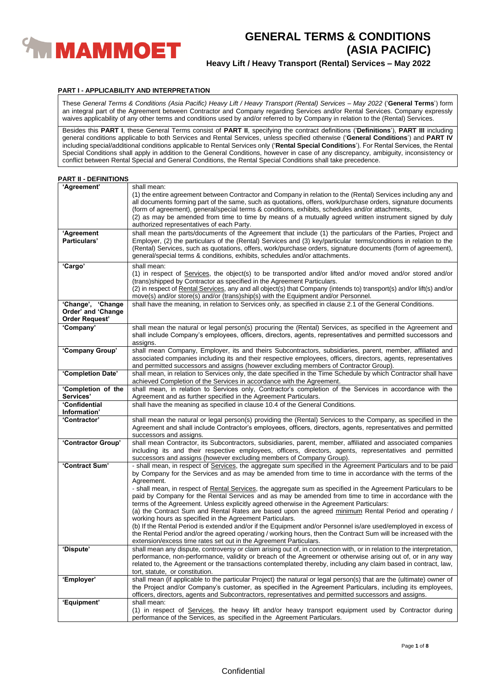

# **Heavy Lift / Heavy Transport (Rental) Services – May 2022**

## **PART I - APPLICABILITY AND INTERPRETATION**

These *General Terms & Conditions (Asia Pacific) Heavy Lift / Heavy Transport (Rental) Services – May 2022* ('**General Terms**') form an integral part of the Agreement between Contractor and Company regarding Services and/or Rental Services. Company expressly waives applicability of any other terms and conditions used by and/or referred to by Company in relation to the (Rental) Services.

Besides this **PART I**, these General Terms consist of **PART II**, specifying the contract definitions ('**Definitions**'), **PART III** including general conditions applicable to both Services and Rental Services, unless specified otherwise ('**General Conditions**') and **PART IV** including special/additional conditions applicable to Rental Services only ('**Rental Special Conditions**'). For Rental Services, the Rental Special Conditions shall apply in addition to the General Conditions, however in case of any discrepancy, ambiguity, inconsistency or conflict between Rental Special and General Conditions, the Rental Special Conditions shall take precedence.

## **PART II - DEFINITIONS**

| 'Agreement'                                                      | shall mean:<br>(1) the entire agreement between Contractor and Company in relation to the (Rental) Services including any and<br>all documents forming part of the same, such as quotations, offers, work/purchase orders, signature documents<br>(form of agreement), general/special terms & conditions, exhibits, schedules and/or attachments,<br>(2) as may be amended from time to time by means of a mutually agreed written instrument signed by duly<br>authorized representatives of each Party.                                                                                                                                                                                                                                                                                                                                                                                                                                                                                                                                     |
|------------------------------------------------------------------|------------------------------------------------------------------------------------------------------------------------------------------------------------------------------------------------------------------------------------------------------------------------------------------------------------------------------------------------------------------------------------------------------------------------------------------------------------------------------------------------------------------------------------------------------------------------------------------------------------------------------------------------------------------------------------------------------------------------------------------------------------------------------------------------------------------------------------------------------------------------------------------------------------------------------------------------------------------------------------------------------------------------------------------------|
| 'Agreement<br>Particulars'                                       | shall mean the parts/documents of the Agreement that include (1) the particulars of the Parties, Project and<br>Employer, (2) the particulars of the (Rental) Services and (3) key/particular terms/conditions in relation to the<br>(Rental) Services, such as quotations, offers, work/purchase orders, signature documents (form of agreement),<br>general/special terms & conditions, exhibits, schedules and/or attachments.                                                                                                                                                                                                                                                                                                                                                                                                                                                                                                                                                                                                              |
| 'Cargo'                                                          | shall mean:<br>(1) in respect of Services, the object(s) to be transported and/or lifted and/or moved and/or stored and/or<br>(trans) shipped by Contractor as specified in the Agreement Particulars.<br>(2) in respect of Rental Services, any and all object(s) that Company (intends to) transport(s) and/or lift(s) and/or<br>move(s) and/or store(s) and/or (trans)ship(s) with the Equipment and/or Personnel.                                                                                                                                                                                                                                                                                                                                                                                                                                                                                                                                                                                                                          |
| 'Change', 'Change<br>Order' and 'Change<br><b>Order Request'</b> | shall have the meaning, in relation to Services only, as specified in clause 2.1 of the General Conditions.                                                                                                                                                                                                                                                                                                                                                                                                                                                                                                                                                                                                                                                                                                                                                                                                                                                                                                                                    |
| 'Company'                                                        | shall mean the natural or legal person(s) procuring the (Rental) Services, as specified in the Agreement and<br>shall include Company's employees, officers, directors, agents, representatives and permitted successors and<br>assigns.                                                                                                                                                                                                                                                                                                                                                                                                                                                                                                                                                                                                                                                                                                                                                                                                       |
| 'Company Group'                                                  | shall mean Company, Employer, its and theirs Subcontractors, subsidiaries, parent, member, affiliated and<br>associated companies including its and their respective employees, officers, directors, agents, representatives<br>and permitted successors and assigns (however excluding members of Contractor Group).                                                                                                                                                                                                                                                                                                                                                                                                                                                                                                                                                                                                                                                                                                                          |
| 'Completion Date'                                                | shall mean, in relation to Services only, the date specified in the Time Schedule by which Contractor shall have<br>achieved Completion of the Services in accordance with the Agreement.                                                                                                                                                                                                                                                                                                                                                                                                                                                                                                                                                                                                                                                                                                                                                                                                                                                      |
| 'Completion of the<br>Services'                                  | shall mean, in relation to Services only, Contractor's completion of the Services in accordance with the<br>Agreement and as further specified in the Agreement Particulars.                                                                                                                                                                                                                                                                                                                                                                                                                                                                                                                                                                                                                                                                                                                                                                                                                                                                   |
| 'Confidential<br>Information'                                    | shall have the meaning as specified in clause 10.4 of the General Conditions.                                                                                                                                                                                                                                                                                                                                                                                                                                                                                                                                                                                                                                                                                                                                                                                                                                                                                                                                                                  |
| 'Contractor'                                                     | shall mean the natural or legal person(s) providing the (Rental) Services to the Company, as specified in the<br>Agreement and shall include Contractor's employees, officers, directors, agents, representatives and permitted<br>successors and assigns.                                                                                                                                                                                                                                                                                                                                                                                                                                                                                                                                                                                                                                                                                                                                                                                     |
| 'Contractor Group'                                               | shall mean Contractor, its Subcontractors, subsidiaries, parent, member, affiliated and associated companies<br>including its and their respective employees, officers, directors, agents, representatives and permitted<br>successors and assigns (however excluding members of Company Group).                                                                                                                                                                                                                                                                                                                                                                                                                                                                                                                                                                                                                                                                                                                                               |
| 'Contract Sum'                                                   | - shall mean, in respect of Services, the aggregate sum specified in the Agreement Particulars and to be paid<br>by Company for the Services and as may be amended from time to time in accordance with the terms of the<br>Agreement.<br>- shall mean, in respect of Rental Services, the aggregate sum as specified in the Agreement Particulars to be<br>paid by Company for the Rental Services and as may be amended from time to time in accordance with the<br>terms of the Agreement. Unless explicitly agreed otherwise in the Agreement Particulars:<br>(a) the Contract Sum and Rental Rates are based upon the agreed minimum Rental Period and operating /<br>working hours as specified in the Agreement Particulars.<br>(b) If the Rental Period is extended and/or if the Equipment and/or Personnel is/are used/employed in excess of<br>the Rental Period and/or the agreed operating / working hours, then the Contract Sum will be increased with the<br>extension/excess time rates set out in the Agreement Particulars. |
| 'Dispute'                                                        | shall mean any dispute, controversy or claim arising out of, in connection with, or in relation to the interpretation,<br>performance, non-performance, validity or breach of the Agreement or otherwise arising out of, or in any way<br>related to, the Agreement or the transactions contemplated thereby, including any claim based in contract, law,<br>tort, statute, or constitution.                                                                                                                                                                                                                                                                                                                                                                                                                                                                                                                                                                                                                                                   |
| 'Employer'                                                       | shall mean (if applicable to the particular Project) the natural or legal person(s) that are the (ultimate) owner of<br>the Project and/or Company's customer, as specified in the Agreement Particulars, including its employees,<br>officers, directors, agents and Subcontractors, representatives and permitted successors and assigns.                                                                                                                                                                                                                                                                                                                                                                                                                                                                                                                                                                                                                                                                                                    |
| 'Equipment'                                                      | shall mean:<br>(1) in respect of Services, the heavy lift and/or heavy transport equipment used by Contractor during<br>performance of the Services, as specified in the Agreement Particulars.                                                                                                                                                                                                                                                                                                                                                                                                                                                                                                                                                                                                                                                                                                                                                                                                                                                |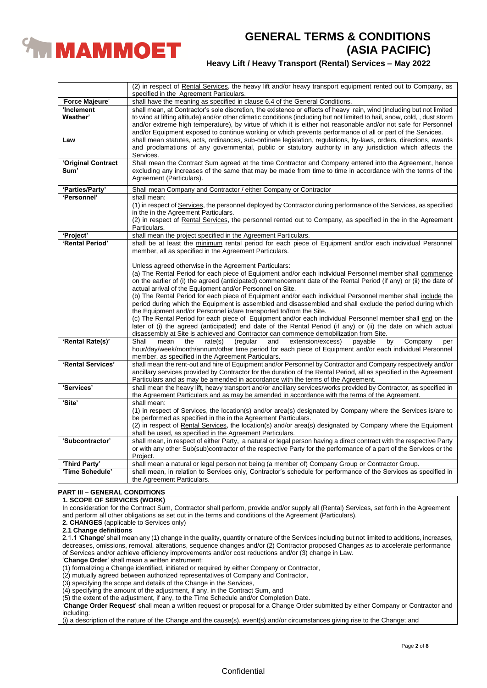

# **Heavy Lift / Heavy Transport (Rental) Services – May 2022**

|                    | (2) in respect of Rental Services, the heavy lift and/or heavy transport equipment rented out to Company, as<br>specified in the Agreement Particulars. |
|--------------------|---------------------------------------------------------------------------------------------------------------------------------------------------------|
| 'Force Majeure'    | shall have the meaning as specified in clause 6.4 of the General Conditions.                                                                            |
| 'Inclement         | shall mean, at Contractor's sole discretion, the existence or effects of heavy rain, wind (including but not limited                                    |
| Weather'           | to wind at lifting altitude) and/or other climatic conditions (including but not limited to hail, snow, cold, , dust storm                              |
|                    | and/or extreme high temperature), by virtue of which it is either not reasonable and/or not safe for Personnel                                          |
|                    | and/or Equipment exposed to continue working or which prevents performance of all or part of the Services.                                              |
| Law                | shall mean statutes, acts, ordinances, sub-ordinate legislation, regulations, by-laws, orders, directions, awards                                       |
|                    | and proclamations of any governmental, public or statutory authority in any jurisdiction which affects the                                              |
|                    | Services.                                                                                                                                               |
| 'Original Contract | Shall mean the Contract Sum agreed at the time Contractor and Company entered into the Agreement, hence                                                 |
| Sum'               | excluding any increases of the same that may be made from time to time in accordance with the terms of the                                              |
|                    | Agreement (Particulars).                                                                                                                                |
|                    |                                                                                                                                                         |
| 'Parties/Party'    | Shall mean Company and Contractor / either Company or Contractor                                                                                        |
| 'Personnel'        | shall mean:                                                                                                                                             |
|                    | (1) in respect of Services, the personnel deployed by Contractor during performance of the Services, as specified                                       |
|                    | in the in the Agreement Particulars.                                                                                                                    |
|                    | (2) in respect of Rental Services, the personnel rented out to Company, as specified in the in the Agreement                                            |
|                    | Particulars.                                                                                                                                            |
| 'Project'          | shall mean the project specified in the Agreement Particulars.                                                                                          |
| 'Rental Period'    | shall be at least the minimum rental period for each piece of Equipment and/or each individual Personnel                                                |
|                    | member, all as specified in the Agreement Particulars.                                                                                                  |
|                    |                                                                                                                                                         |
|                    | Unless agreed otherwise in the Agreement Particulars:                                                                                                   |
|                    | (a) The Rental Period for each piece of Equipment and/or each individual Personnel member shall commence                                                |
|                    | on the earlier of (i) the agreed (anticipated) commencement date of the Rental Period (if any) or (ii) the date of                                      |
|                    | actual arrival of the Equipment and/or Personnel on Site.                                                                                               |
|                    | (b) The Rental Period for each piece of Equipment and/or each individual Personnel member shall include the                                             |
|                    | period during which the Equipment is assembled and disassembled and shall exclude the period during which                                               |
|                    | the Equipment and/or Personnel is/are transported to/from the Site.                                                                                     |
|                    | (c) The Rental Period for each piece of Equipment and/or each individual Personnel member shall end on the                                              |
|                    | later of (i) the agreed (anticipated) end date of the Rental Period (if any) or (ii) the date on which actual                                           |
|                    | disassembly at Site is achieved and Contractor can commence demobilization from Site.                                                                   |
| 'Rental Rate(s)'   | Shall<br>mean<br>the<br>(regular<br>extension/excess)<br>payable<br>by<br>Company<br>rate(s)<br>and<br>per                                              |
|                    | hour/day/week/month/annum/other time period for each piece of Equipment and/or each individual Personnel                                                |
|                    | member, as specified in the Agreement Particulars.                                                                                                      |
| 'Rental Services'  | shall mean the rent-out and hire of Equipment and/or Personnel by Contractor and Company respectively and/or                                            |
|                    | ancillary services provided by Contractor for the duration of the Rental Period, all as specified in the Agreement                                      |
|                    | Particulars and as may be amended in accordance with the terms of the Agreement.                                                                        |
| 'Services'         | shall mean the heavy lift, heavy transport and/or ancillary services/works provided by Contractor, as specified in                                      |
|                    | the Agreement Particulars and as may be amended in accordance with the terms of the Agreement.                                                          |
| 'Site'             | shall mean:                                                                                                                                             |
|                    | (1) in respect of Services, the location(s) and/or area(s) designated by Company where the Services is/are to                                           |
|                    | be performed as specified in the in the Agreement Particulars.                                                                                          |
|                    | (2) in respect of Rental Services, the location(s) and/or area(s) designated by Company where the Equipment                                             |
|                    | shall be used, as specified in the Agreement Particulars.                                                                                               |
| 'Subcontractor'    | shall mean, in respect of either Party, a natural or legal person having a direct contract with the respective Party                                    |
|                    | or with any other Sub(sub)contractor of the respective Party for the performance of a part of the Services or the                                       |
|                    | Project.                                                                                                                                                |
| 'Third Party'      | shall mean a natural or legal person not being (a member of) Company Group or Contractor Group.                                                         |
| 'Time Schedule'    | shall mean, in relation to Services only, Contractor's schedule for performance of the Services as specified in                                         |
|                    | the Agreement Particulars.                                                                                                                              |

## **PART III – GENERAL CONDITIONS**

## **1. SCOPE OF SERVICES (WORK)**

In consideration for the Contract Sum, Contractor shall perform, provide and/or supply all (Rental) Services, set forth in the Agreement and perform all other obligations as set out in the terms and conditions of the Agreement (Particulars).

**2. CHANGES** (applicable to Services only)

**2.1 Change definitions**

2.1.1 '**Change**' shall mean any (1) change in the quality, quantity or nature of the Services including but not limited to additions, increases, decreases, omissions, removal, alterations, sequence changes and/or (2) Contractor proposed Changes as to accelerate performance of Services and/or achieve efficiency improvements and/or cost reductions and/or (3) change in Law.

'**Change Order**' shall mean a written instrument:

(1) formalizing a Change identified, initiated or required by either Company or Contractor,

(2) mutually agreed between authorized representatives of Company and Contractor,

(3) specifying the scope and details of the Change in the Services,

(4) specifying the amount of the adjustment, if any, in the Contract Sum, and

(5) the extent of the adjustment, if any, to the Time Schedule and/or Completion Date.

'**Change Order Request**' shall mean a written request or proposal for a Change Order submitted by either Company or Contractor and including:

(i) a description of the nature of the Change and the cause(s), event(s) and/or circumstances giving rise to the Change; and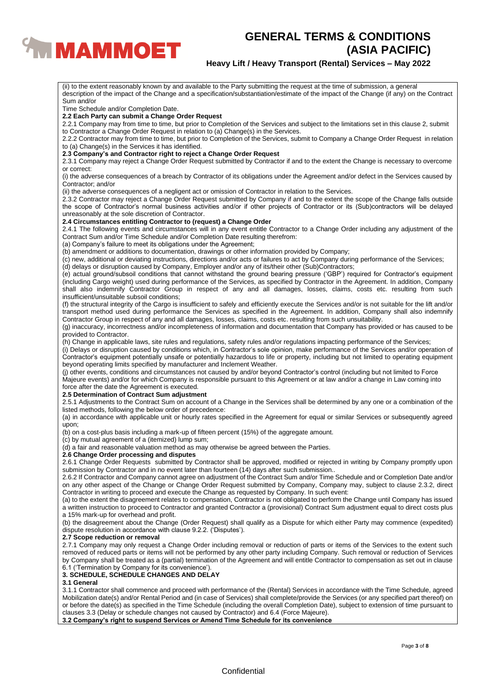

## **Heavy Lift / Heavy Transport (Rental) Services – May 2022**

Sum and/or Time Schedule and/or Completion Date. **2.2 Each Party can submit a Change Order Request** 2.2.1 Company may from time to time, but prior to Completion of the Services and subject to the limitations set in this clause 2, submit to Contractor a Change Order Request in relation to (a) Change(s) in the Services. 2.2.2 Contractor may from time to time, but prior to Completion of the Services, submit to Company a Change Order Request in relation to (a) Change(s) in the Services it has identified. **2.3 Company's and Contractor right to reject a Change Order Request** 2.3.1 Company may reject a Change Order Request submitted by Contractor if and to the extent the Change is necessary to overcome or correct: (i) the adverse consequences of a breach by Contractor of its obligations under the Agreement and/or defect in the Services caused by Contractor; and/or (ii) the adverse consequences of a negligent act or omission of Contractor in relation to the Services. 2.3.2 Contractor may reject a Change Order Request submitted by Company if and to the extent the scope of the Change falls outside the scope of Contractor's normal business activities and/or if other projects of Contractor or its (Sub)contractors will be delayed unreasonably at the sole discretion of Contractor. **2.4 Circumstances entitling Contractor to (request) a Change Order** 2.4.1 The following events and circumstances will in any event entitle Contractor to a Change Order including any adjustment of the Contract Sum and/or Time Schedule and/or Completion Date resulting therefrom: (a) Company's failure to meet its obligations under the Agreement; (b) amendment or additions to documentation, drawings or other information provided by Company; (c) new, additional or deviating instructions, directions and/or acts or failures to act by Company during performance of the Services; (d) delays or disruption caused by Company, Employer and/or any of its/their other (Sub)Contractors; (e) actual ground/subsoil conditions that cannot withstand the ground bearing pressure ('GBP') required for Contractor's equipment (including Cargo weight) used during performance of the Services, as specified by Contractor in the Agreement. In addition, Company shall also indemnify Contractor Group in respect of any and all damages, losses, claims, costs etc. resulting from such insufficient/unsuitable subsoil conditions; (f) the structural integrity of the Cargo is insufficient to safely and efficiently execute the Services and/or is not suitable for the lift and/or transport method used during performance the Services as specified in the Agreement. In addition, Company shall also indemnify Contractor Group in respect of any and all damages, losses, claims, costs etc. resulting from such unsuitability. (g) inaccuracy, incorrectness and/or incompleteness of information and documentation that Company has provided or has caused to be provided to Contractor. (h) Change in applicable laws, site rules and regulations, safety rules and/or regulations impacting performance of the Services; (i) Delays or disruption caused by conditions which, in Contractor's sole opinion, make performance of the Services and/or operation of Contractor's equipment potentially unsafe or potentially hazardous to life or property, including but not limited to operating equipment beyond operating limits specified by manufacturer and Inclement Weather. (j) other events, conditions and circumstances not caused by and/or beyond Contractor's control (including but not limited to Force Majeure events) and/or for which Company is responsible pursuant to this Agreement or at law and/or a change in Law coming into force after the date the Agreement is executed. **2.5 Determination of Contract Sum adjustment** 2.5.1 Adjustments to the Contract Sum on account of a Change in the Services shall be determined by any one or a combination of the listed methods, following the below order of precedence: (a) in accordance with applicable unit or hourly rates specified in the Agreement for equal or similar Services or subsequently agreed upon; (b) on a cost-plus basis including a mark-up of fifteen percent (15%) of the aggregate amount.

(ii) to the extent reasonably known by and available to the Party submitting the request at the time of submission, a general

description of the impact of the Change and a specification/substantiation/estimate of the impact of the Change (if any) on the Contract

# (c) by mutual agreement of a (itemized) lump sum;

(d) a fair and reasonable valuation method as may otherwise be agreed between the Parties.

## **2.6 Change Order processing and disputes**

2.6.1 Change Order Requests submitted by Contractor shall be approved, modified or rejected in writing by Company promptly upon submission by Contractor and in no event later than fourteen (14) days after such submission..

2.6.2 If Contractor and Company cannot agree on adjustment of the Contract Sum and/or Time Schedule and or Completion Date and/or on any other aspect of the Change or Change Order Request submitted by Company, Company may, subject to clause 2.3.2, direct Contractor in writing to proceed and execute the Change as requested by Company. In such event:

(a) to the extent the disagreement relates to compensation, Contractor is not obligated to perform the Change until Company has issued a written instruction to proceed to Contractor and granted Contractor a (provisional) Contract Sum adjustment equal to direct costs plus a 15% mark-up for overhead and profit.

(b) the disagreement about the Change (Order Request) shall qualify as a Dispute for which either Party may commence (expedited) dispute resolution in accordance with clause 9.2.2. ('Disputes').

#### **2.7 Scope reduction or removal**

2.7.1 Company may only request a Change Order including removal or reduction of parts or items of the Services to the extent such removed of reduced parts or items will not be performed by any other party including Company. Such removal or reduction of Services by Company shall be treated as a (partial) termination of the Agreement and will entitle Contractor to compensation as set out in clause 6.1 ('Termination by Company for its convenience').

### **3. SCHEDULE, SCHEDULE CHANGES AND DELAY**

## **3.1 General**

3.1.1 Contractor shall commence and proceed with performance of the (Rental) Services in accordance with the Time Schedule, agreed Mobilization date(s) and/or Rental Period and (in case of Services) shall complete/provide the Services (or any specified part thereof) on or before the date(s) as specified in the Time Schedule (including the overall Completion Date), subject to extension of time pursuant to clauses 3.3 (Delay or schedule changes not caused by Contractor) and 6.4 (Force Majeure).

**3.2 Company's right to suspend Services or Amend Time Schedule for its convenience**

## **Confidential**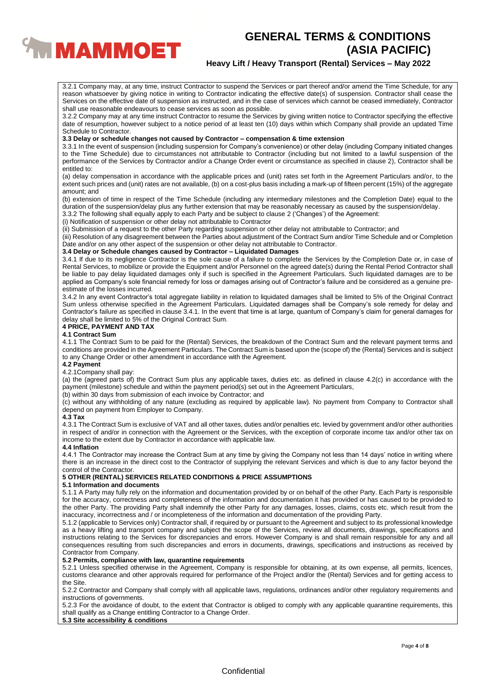

## **Heavy Lift / Heavy Transport (Rental) Services – May 2022**

3.2.1 Company may, at any time, instruct Contractor to suspend the Services or part thereof and/or amend the Time Schedule, for any reason whatsoever by giving notice in writing to Contractor indicating the effective date(s) of suspension. Contractor shall cease the Services on the effective date of suspension as instructed, and in the case of services which cannot be ceased immediately, Contractor shall use reasonable endeavours to cease services as soon as possible.

3.2.2 Company may at any time instruct Contractor to resume the Services by giving written notice to Contractor specifying the effective date of resumption, however subject to a notice period of at least ten (10) days within which Company shall provide an updated Time Schedule to Contractor.

## **3.3 Delay or schedule changes not caused by Contractor – compensation & time extension**

3.3.1 In the event of suspension (including suspension for Company's convenience) or other delay (including Company initiated changes to the Time Schedule) due to circumstances not attributable to Contractor (including but not limited to a lawful suspension of the performance of the Services by Contractor and/or a Change Order event or circumstance as specified in clause 2), Contractor shall be entitled to:

(a) delay compensation in accordance with the applicable prices and (unit) rates set forth in the Agreement Particulars and/or, to the extent such prices and (unit) rates are not available, (b) on a cost-plus basis including a mark-up of fifteen percent (15%) of the aggregate amount; and

(b) extension of time in respect of the Time Schedule (including any intermediary milestones and the Completion Date) equal to the duration of the suspension/delay plus any further extension that may be reasonably necessary as caused by the suspension/delay.

3.3.2 The following shall equally apply to each Party and be subject to clause 2 ('Changes') of the Agreement:

(i) Notification of suspension or other delay not attributable to Contractor

(ii) Submission of a request to the other Party regarding suspension or other delay not attributable to Contractor; and

(iii) Resolution of any disagreement between the Parties about adjustment of the Contract Sum and/or Time Schedule and or Completion Date and/or on any other aspect of the suspension or other delay not attributable to Contractor.

## **3.4 Delay or Schedule changes caused by Contractor – Liquidated Damages**

3.4.1 If due to its negligence Contractor is the sole cause of a failure to complete the Services by the Completion Date or, in case of Rental Services, to mobilize or provide the Equipment and/or Personnel on the agreed date(s) during the Rental Period Contractor shall be liable to pay delay liquidated damages only if such is specified in the Agreement Particulars. Such liquidated damages are to be applied as Company's sole financial remedy for loss or damages arising out of Contractor's failure and be considered as a genuine preestimate of the losses incurred.

3.4.2 In any event Contractor's total aggregate liability in relation to liquidated damages shall be limited to 5% of the Original Contract Sum unless otherwise specified in the Agreement Particulars. Liquidated damages shall be Company's sole remedy for delay and Contractor's failure as specified in clause 3.4.1. In the event that time is at large, quantum of Company's claim for general damages for delay shall be limited to 5% of the Original Contract Sum.

## **4 PRICE, PAYMENT AND TAX**

### **4.1 Contract Sum**

4.1.1 The Contract Sum to be paid for the (Rental) Services, the breakdown of the Contract Sum and the relevant payment terms and conditions are provided in the Agreement Particulars. The Contract Sum is based upon the (scope of) the (Rental) Services and is subject to any Change Order or other amendment in accordance with the Agreement.

## **4.2 Payment**

### 4.2.1Company shall pay:

(a) the (agreed parts of) the Contract Sum plus any applicable taxes, duties etc. as defined in clause 4.2(c) in accordance with the payment (milestone) schedule and within the payment period(s) set out in the Agreement Particulars,

(b) within 30 days from submission of each invoice by Contractor; and

(c) without any withholding of any nature (excluding as required by applicable law). No payment from Company to Contractor shall depend on payment from Employer to Company.

#### **4.3 Tax**

4.3.1 The Contract Sum is exclusive of VAT and all other taxes, duties and/or penalties etc. levied by government and/or other authorities in respect of and/or in connection with the Agreement or the Services, with the exception of corporate income tax and/or other tax on income to the extent due by Contractor in accordance with applicable law.

## **4.4 Inflation**

4.4.1 The Contractor may increase the Contract Sum at any time by giving the Company not less than 14 days' notice in writing where there is an increase in the direct cost to the Contractor of supplying the relevant Services and which is due to any factor beyond the control of the Contractor.

## **5 OTHER (RENTAL) SERVICES RELATED CONDITIONS & PRICE ASSUMPTIONS**

### **5.1 Information and documents**

5.1.1 A Party may fully rely on the information and documentation provided by or on behalf of the other Party. Each Party is responsible for the accuracy, correctness and completeness of the information and documentation it has provided or has caused to be provided to the other Party. The providing Party shall indemnify the other Party for any damages, losses, claims, costs etc. which result from the inaccuracy, incorrectness and / or incompleteness of the information and documentation of the providing Party.

5.1.2 (applicable to Services only) Contractor shall, if required by or pursuant to the Agreement and subject to its professional knowledge as a heavy lifting and transport company and subject the scope of the Services, review all documents, drawings, specifications and instructions relating to the Services for discrepancies and errors. However Company is and shall remain responsible for any and all consequences resulting from such discrepancies and errors in documents, drawings, specifications and instructions as received by Contractor from Company.

## **5.2 Permits, compliance with law, quarantine requirements**

5.2.1 Unless specified otherwise in the Agreement, Company is responsible for obtaining, at its own expense, all permits, licences, customs clearance and other approvals required for performance of the Project and/or the (Rental) Services and for getting access to the Site.

5.2.2 Contractor and Company shall comply with all applicable laws, regulations, ordinances and/or other regulatory requirements and instructions of governments.

5.2.3 For the avoidance of doubt, to the extent that Contractor is obliged to comply with any applicable quarantine requirements, this shall qualify as a Change entitling Contractor to a Change Order.

## **5.3 Site accessibility & conditions**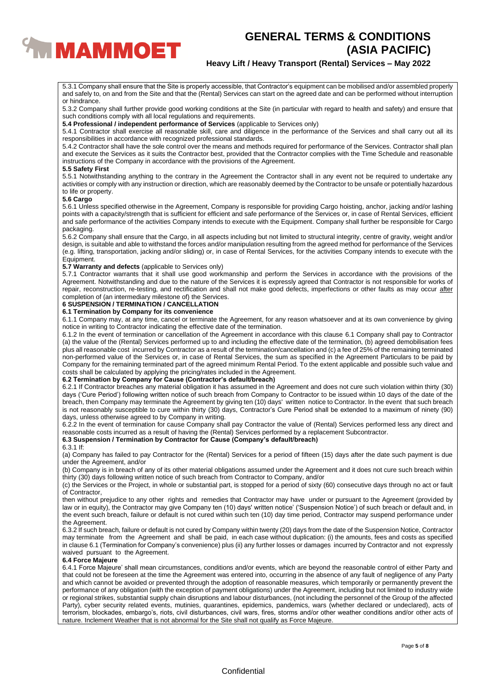

## **Heavy Lift / Heavy Transport (Rental) Services – May 2022**

5.3.1 Company shall ensure that the Site is properly accessible, that Contractor's equipment can be mobilised and/or assembled properly and safely to, on and from the Site and that the (Rental) Services can start on the agreed date and can be performed without interruption or hindrance.

5.3.2 Company shall further provide good working conditions at the Site (in particular with regard to health and safety) and ensure that such conditions comply with all local regulations and requirements.

**5.4 Professional / independent performance of Services** (applicable to Services only)

5.4.1 Contractor shall exercise all reasonable skill, care and diligence in the performance of the Services and shall carry out all its responsibilities in accordance with recognized professional standards.

5.4.2 Contractor shall have the sole control over the means and methods required for performance of the Services. Contractor shall plan and execute the Services as it suits the Contractor best, provided that the Contractor complies with the Time Schedule and reasonable instructions of the Company in accordance with the provisions of the Agreement.

### **5.5 Safety First**

5.5.1 Notwithstanding anything to the contrary in the Agreement the Contractor shall in any event not be required to undertake any activities or comply with any instruction or direction, which are reasonably deemed by the Contractor to be unsafe or potentially hazardous to life or property.

#### **5.6 Cargo**

5.6.1 Unless specified otherwise in the Agreement, Company is responsible for providing Cargo hoisting, anchor, jacking and/or lashing points with a capacity/strength that is sufficient for efficient and safe performance of the Services or, in case of Rental Services, efficient and safe performance of the activities Company intends to execute with the Equipment. Company shall further be responsible for Cargo packaging.

5.6.2 Company shall ensure that the Cargo, in all aspects including but not limited to structural integrity, centre of gravity, weight and/or design, is suitable and able to withstand the forces and/or manipulation resulting from the agreed method for performance of the Services (e.g. lifting, transportation, jacking and/or sliding) or, in case of Rental Services, for the activities Company intends to execute with the Equipment.

### **5.7 Warranty and defects** (applicable to Services only)

5.7.1 Contractor warrants that it shall use good workmanship and perform the Services in accordance with the provisions of the Agreement. Notwithstanding and due to the nature of the Services it is expressly agreed that Contractor is not responsible for works of repair, reconstruction, re-testing, and rectification and shall not make good defects, imperfections or other faults as may occur after completion of (an intermediary milestone of) the Services.

## **6 SUSPENSION / TERMINATION / CANCELLATION**

## **6.1 Termination by Company for its convenience**

6.1.1 Company may, at any time, cancel or terminate the Agreement, for any reason whatsoever and at its own convenience by giving notice in writing to Contractor indicating the effective date of the termination.

6.1.2 In the event of termination or cancellation of the Agreement in accordance with this clause 6.1 Company shall pay to Contractor (a) the value of the (Rental) Services performed up to and including the effective date of the termination, (b) agreed demobilisation fees plus all reasonable cost incurred by Contractor as a result of the termination/cancellation and (c) a fee of 25% of the remaining terminated non-performed value of the Services or, in case of Rental Services, the sum as specified in the Agreement Particulars to be paid by Company for the remaining terminated part of the agreed minimum Rental Period. To the extent applicable and possible such value and costs shall be calculated by applying the pricing/rates included in the Agreement.

## **6.2 Termination by Company for Cause (Contractor's default/breach)**

6.2.1 If Contractor breaches any material obligation it has assumed in the Agreement and does not cure such violation within thirty (30) days ('Cure Period') following written notice of such breach from Company to Contractor to be issued within 10 days of the date of the breach, then Company may terminate the Agreement by giving ten (10) days' written notice to Contractor. ln the event that such breach is not reasonably susceptible to cure within thirty (30) days, Contractor's Cure Period shall be extended to a maximum of ninety (90) days, unless otherwise agreed to by Company in writing.

6.2.2 In the event of termination for cause Company shall pay Contractor the value of (Rental) Services performed less any direct and reasonable costs incurred as a result of having the (Rental) Services performed by a replacement Subcontractor.

## **6.3 Suspension / Termination by Contractor for Cause (Company's default/breach)**

### 6.3.1 If:

(a) Company has failed to pay Contractor for the (Rental) Services for a period of fifteen (15) days after the date such payment is due under the Agreement, and/or

(b) Company is in breach of any of its other material obligations assumed under the Agreement and it does not cure such breach within thirty (30) days following written notice of such breach from Contractor to Company, and/or

(c) the Services or the Project, in whole or substantial part, is stopped for a period of sixty (60) consecutive days through no act or fault of Contractor,

then without prejudice to any other rights and remedies that Contractor may have under or pursuant to the Agreement (provided by law or in equity), the Contractor may give Company ten (10) days' written notice' ('Suspension Notice') of such breach or default and, in the event such breach, failure or default is not cured within such ten (10) day time period, Contractor may suspend performance under the Agreement.

6.3.2 If such breach, failure or default is not cured by Company within twenty (20) days from the date of the Suspension Notice, Contractor may terminate from the Agreement and shall be paid, in each case without duplication: (i) the amounts, fees and costs as specified in clause 6.1 (Termination for Company's convenience) plus (ii) any further losses or damages incurred by Contractor and not expressly waived pursuant to the Agreement.

## **6.4 Force Majeure**

6.4.1 Force Majeure' shall mean circumstances, conditions and/or events, which are beyond the reasonable control of either Party and that could not be foreseen at the time the Agreement was entered into, occurring in the absence of any fault of negligence of any Party and which cannot be avoided or prevented through the adoption of reasonable measures, which temporarily or permanently prevent the performance of any obligation (with the exception of payment obligations) under the Agreement, including but not limited to industry wide or regional strikes, substantial supply chain disruptions and labour disturbances, (not including the personnel of the Group of the affected Party), cyber security related events, mutinies, quarantines, epidemics, pandemics, wars (whether declared or undeclared), acts of terrorism, blockades, embargo's, riots, civil disturbances, civil wars, fires, storms and/or other weather conditions and/or other acts of nature. Inclement Weather that is not abnormal for the Site shall not qualify as Force Majeure.

## **Confidential**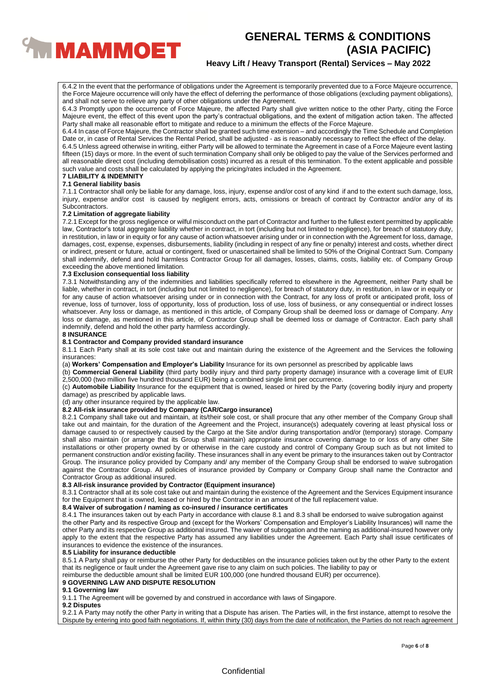

## **Heavy Lift / Heavy Transport (Rental) Services – May 2022**

6.4.2 In the event that the performance of obligations under the Agreement is temporarily prevented due to a Force Majeure occurrence, the Force Majeure occurrence will only have the effect of deferring the performance of those obligations (excluding payment obligations), and shall not serve to relieve any party of other obligations under the Agreement.

6.4.3 Promptly upon the occurrence of Force Majeure, the affected Party shall give written notice to the other Party, citing the Force Majeure event, the effect of this event upon the party's contractual obligations, and the extent of mitigation action taken. The affected Party shall make all reasonable effort to mitigate and reduce to a minimum the effects of the Force Majeure.

6.4.4 In case of Force Majeure, the Contractor shall be granted such time extension – and accordingly the Time Schedule and Completion Date or, in case of Rental Services the Rental Period, shall be adjusted - as is reasonably necessary to reflect the effect of the delay.

6.4.5 Unless agreed otherwise in writing, either Party will be allowed to terminate the Agreement in case of a Force Majeure event lasting fifteen (15) days or more. In the event of such termination Company shall only be obliged to pay the value of the Services performed and all reasonable direct cost (including demobilisation costs) incurred as a result of this termination. To the extent applicable and possible such value and costs shall be calculated by applying the pricing/rates included in the Agreement.

#### **7 LIABILITY & INDEMNITY 7.1 General liability basis**

7.1.1 Contractor shall only be liable for any damage, loss, injury, expense and/or cost of any kind if and to the extent such damage, loss, injury, expense and/or cost is caused by negligent errors, acts, omissions or breach of contract by Contractor and/or any of its Subcontractors.

### **7.2 Limitation of aggregate liability**

7.2.1 Except for the gross negligence or wilful misconduct on the part of Contractor and further to the fullest extent permitted by applicable law, Contractor's total aggregate liability whether in contract, in tort (including but not limited to negligence), for breach of statutory duty, in restitution, in law or in equity or for any cause of action whatsoever arising under or in connection with the Agreement for loss, damage, damages, cost, expense, expenses, disbursements, liability (including in respect of any fine or penalty) interest and costs, whether direct or indirect, present or future, actual or contingent, fixed or unascertained shall be limited to 50% of the Original Contract Sum. Company shall indemnify, defend and hold harmless Contractor Group for all damages, losses, claims, costs, liability etc. of Company Group exceeding the above mentioned limitation.

### **7.3 Exclusion consequential loss liability**

7.3.1 Notwithstanding any of the indemnities and liabilities specifically referred to elsewhere in the Agreement, neither Party shall be liable, whether in contract, in tort (including but not limited to negligence), for breach of statutory duty, in restitution, in law or in equity or for any cause of action whatsoever arising under or in connection with the Contract, for any loss of profit or anticipated profit, loss of revenue, loss of turnover, loss of opportunity, loss of production, loss of use, loss of business, or any consequential or indirect losses whatsoever. Any loss or damage, as mentioned in this article, of Company Group shall be deemed loss or damage of Company. Any loss or damage, as mentioned in this article, of Contractor Group shall be deemed loss or damage of Contractor. Each party shall indemnify, defend and hold the other party harmless accordingly.

## **8 INSURANCE**

### **8.1 Contractor and Company provided standard insurance**

8.1.1 Each Party shall at its sole cost take out and maintain during the existence of the Agreement and the Services the following insurances:

(a) **Workers' Compensation and Employer's Liability** Insurance for its own personnel as prescribed by applicable laws

(b) **Commercial General Liability** (third party bodily injury and third party property damage) insurance with a coverage limit of EUR 2,500,000 (two million five hundred thousand EUR) being a combined single limit per occurrence.

(c) **Automobile Liability** Insurance for the equipment that is owned, leased or hired by the Party (covering bodily injury and property damage) as prescribed by applicable laws.

(d) any other insurance required by the applicable law.

### **8.2 All-risk insurance provided by Company (CAR/Cargo insurance)**

8.2.1 Company shall take out and maintain, at its/their sole cost, or shall procure that any other member of the Company Group shall take out and maintain, for the duration of the Agreement and the Project, insurance(s) adequately covering at least physical loss or damage caused to or respectively caused by the Cargo at the Site and/or during transportation and/or (temporary) storage. Company shall also maintain (or arrange that its Group shall maintain) appropriate insurance covering damage to or loss of any other Site installations or other property owned by or otherwise in the care custody and control of Company Group such as but not limited to permanent construction and/or existing facility. These insurances shall in any event be primary to the insurances taken out by Contractor Group. The insurance policy provided by Company and/ any member of the Company Group shall be endorsed to waive subrogation against the Contractor Group. All policies of insurance provided by Company or Company Group shall name the Contractor and Contractor Group as additional insured.

# **8.3 All-risk insurance provided by Contractor (Equipment insurance)**

8.3.1 Contractor shall at its sole cost take out and maintain during the existence of the Agreement and the Services Equipment insurance for the Equipment that is owned, leased or hired by the Contractor in an amount of the full replacement value.

### **8.4 Waiver of subrogation / naming as co-insured / insurance certificates**

8.4.1 The insurances taken out by each Party in accordance with clause 8.1 and 8.3 shall be endorsed to waive subrogation against the other Party and its respective Group and (except for the Workers' Compensation and Employer's Liability Insurances) will name the other Party and its respective Group as additional insured. The waiver of subrogation and the naming as additional-insured however only apply to the extent that the respective Party has assumed any liabilities under the Agreement. Each Party shall issue certificates of insurances to evidence the existence of the insurances.

### **8.5 Liability for insurance deductible**

8.5.1 A Party shall pay or reimburse the other Party for deductibles on the insurance policies taken out by the other Party to the extent that its negligence or fault under the Agreement gave rise to any claim on such policies. The liability to pay or

reimburse the deductible amount shall be limited EUR 100,000 (one hundred thousand EUR) per occurrence).

## **9 GOVERNING LAW AND DISPUTE RESOLUTION**

### **9.1 Governing law**

9.1.1 The Agreement will be governed by and construed in accordance with laws of Singapore.

#### **9.2 Disputes**

9.2.1 A Party may notify the other Party in writing that a Dispute has arisen. The Parties will, in the first instance, attempt to resolve the Dispute by entering into good faith negotiations. If, within thirty (30) days from the date of notification, the Parties do not reach agreement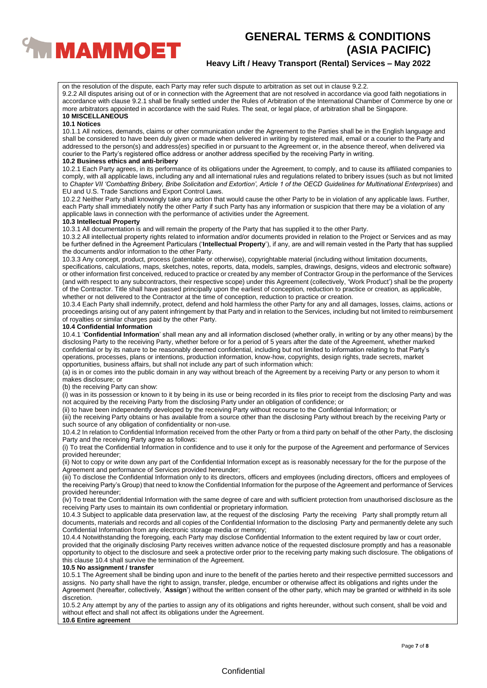

# **Heavy Lift / Heavy Transport (Rental) Services – May 2022**

on the resolution of the dispute, each Party may refer such dispute to arbitration as set out in clause 9.2.2. 9.2.2 All disputes arising out of or in connection with the Agreement that are not resolved in accordance via good faith negotiations in accordance with clause 9.2.1 shall be finally settled under the Rules of Arbitration of the International Chamber of Commerce by one or more arbitrators appointed in accordance with the said Rules. The seat, or legal place, of arbitration shall be Singapore. **10 MISCELLANEOUS**

## **10.1 Notices**

10.1.1 All notices, demands, claims or other communication under the Agreement to the Parties shall be in the English language and shall be considered to have been duly given or made when delivered in writing by registered mail, email or a courier to the Party and addressed to the person(s) and address(es) specified in or pursuant to the Agreement or, in the absence thereof, when delivered via courier to the Party's registered office address or another address specified by the receiving Party in writing.

### **10.2 Business ethics and anti-bribery**

10.2.1 Each Party agrees, in its performance of its obligations under the Agreement, to comply, and to cause its affiliated companies to comply, with all applicable laws, including any and all international rules and regulations related to bribery issues (such as but not limited to *Chapter VII 'Combatting Bribery, Bribe Solicitation and Extortion', Article 1 of the OECD Guidelines for Multinational Enterprises*) and EU and U.S. Trade Sanctions and Export Control Laws.

10.2.2 Neither Party shall knowingly take any action that would cause the other Party to be in violation of any applicable laws. Further, each Party shall immediately notify the other Party if such Party has any information or suspicion that there may be a violation of any applicable laws in connection with the performance of activities under the Agreement.

#### **10.3 Intellectual Property**

10.3.1 All documentation is and will remain the property of the Party that has supplied it to the other Party.

10.3.2 All intellectual property rights related to information and/or documents provided in relation to the Project or Services and as may be further defined in the Agreement Particulars ('**Intellectual Property**'), if any, are and will remain vested in the Party that has supplied the documents and/or information to the other Party.

10.3.3 Any concept, product, process (patentable or otherwise), copyrightable material (including without limitation documents, specifications, calculations, maps, sketches, notes, reports, data, models, samples, drawings, designs, videos and electronic software) or other information first conceived, reduced to practice or created by any member of Contractor Group in the performance of the Services (and with respect to any subcontractors, their respective scope) under this Agreement (collectively, 'Work Product') shall be the property of the Contractor. Title shall have passed principally upon the earliest of conception, reduction to practice or creation, as applicable, whether or not delivered to the Contractor at the time of conception, reduction to practice or creation.

10.3.4 Each Party shall indemnify, protect, defend and hold harmless the other Party for any and all damages, losses, claims, actions or proceedings arising out of any patent infringement by that Party and in relation to the Services, including but not limited to reimbursement of royalties or similar charges paid by the other Party.

### **10.4 Confidential Information**

10.4.1 '**Confidential Information**' shall mean any and all information disclosed (whether orally, in writing or by any other means) by the disclosing Party to the receiving Party, whether before or for a period of 5 years after the date of the Agreement, whether marked confidential or by its nature to be reasonably deemed confidential, including but not limited to information relating to that Party's operations, processes, plans or intentions, production information, know-how, copyrights, design rights, trade secrets, market opportunities, business affairs, but shall not include any part of such information which:

(a) is in or comes into the public domain in any way without breach of the Agreement by a receiving Party or any person to whom it makes disclosure; or

(b) the receiving Party can show:

(i) was in its possession or known to it by being in its use or being recorded in its files prior to receipt from the disclosing Party and was not acquired by the receiving Party from the disclosing Party under an obligation of confidence; or

(ii) to have been independently developed by the receiving Party without recourse to the Confidential Information; or

(iii) the receiving Party obtains or has available from a source other than the disclosing Party without breach by the receiving Party or such source of any obligation of confidentiality or non-use.

10.4.2 In relation to Confidential Information received from the other Party or from a third party on behalf of the other Party, the disclosing Party and the receiving Party agree as follows:

(i) To treat the Confidential Information in confidence and to use it only for the purpose of the Agreement and performance of Services provided hereunder;

(ii) Not to copy or write down any part of the Confidential Information except as is reasonably necessary for the for the purpose of the Agreement and performance of Services provided hereunder;

(iii) To disclose the Confidential Information only to its directors, officers and employees (including directors, officers and employees of the receiving Party's Group) that need to know the Confidential Information for the purpose of the Agreement and performance of Services provided hereunder;

(iv) To treat the Confidential Information with the same degree of care and with sufficient protection from unauthorised disclosure as the receiving Party uses to maintain its own confidential or proprietary information.

10.4.3 Subject to applicable data preservation law, at the request of the disclosing Party the receiving Party shall promptly return all documents, materials and records and all copies of the Confidential Information to the disclosing Party and permanently delete any such Confidential Information from any electronic storage media or memory;

10.4.4 Notwithstanding the foregoing, each Party may disclose Confidential Information to the extent required by law or court order, provided that the originally disclosing Party receives written advance notice of the requested disclosure promptly and has a reasonable opportunity to object to the disclosure and seek a protective order prior to the receiving party making such disclosure. The obligations of this clause 10.4 shall survive the termination of the Agreement.

## **10.5 No assignment / transfer**

10.5.1 The Agreement shall be binding upon and inure to the benefit of the parties hereto and their respective permitted successors and assigns. No party shall have the right to assign, transfer, pledge, encumber or otherwise affect its obligations and rights under the Agreement (hereafter, collectively, '**Assign**') without the written consent of the other party, which may be granted or withheld in its sole discretion.

10.5.2 Any attempt by any of the parties to assign any of its obligations and rights hereunder, without such consent, shall be void and without effect and shall not affect its obligations under the Agreement.

## **10.6 Entire agreement**